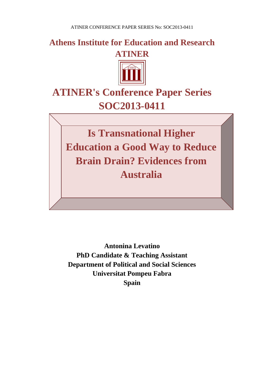**Athens Institute for Education and Research ATINER**



# **ATINER's Conference Paper Series SOC2013-0411**

**Is Transnational Higher Education a Good Way to Reduce Brain Drain? Evidences from Australia**

**Antonina Levatino PhD Candidate & Teaching Assistant Department of Political and Social Sciences Universitat Pompeu Fabra Spain**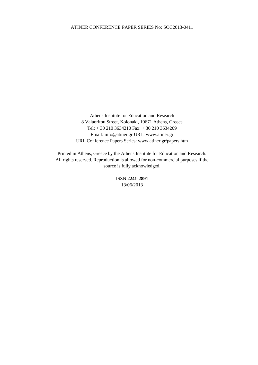Athens Institute for Education and Research 8 Valaoritou Street, Kolonaki, 10671 Athens, Greece Tel: + 30 210 3634210 Fax: + 30 210 3634209 Email: info@atiner.gr URL: www.atiner.gr URL Conference Papers Series: www.atiner.gr/papers.htm

Printed in Athens, Greece by the Athens Institute for Education and Research. All rights reserved. Reproduction is allowed for non-commercial purposes if the source is fully acknowledged.

> ISSN **2241-2891** 13/06/2013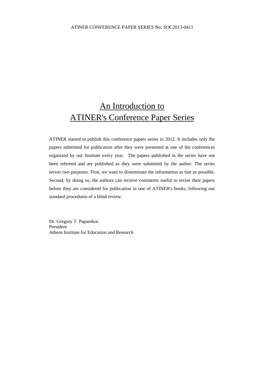## An Introduction to ATINER's Conference Paper Series

ATINER started to publish this conference papers series in 2012. It includes only the papers submitted for publication after they were presented at one of the conferences organized by our Institute every year. The papers published in the series have not been refereed and are published as they were submitted by the author. The series serves two purposes. First, we want to disseminate the information as fast as possible. Second, by doing so, the authors can receive comments useful to revise their papers before they are considered for publication in one of ATINER's books, following our standard procedures of a blind review.

Dr. Gregory T. Papanikos President Athens Institute for Education and Research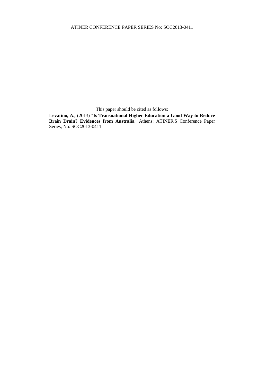This paper should be cited as follows:

**Levatino, A.,** (2013) "**Is Transnational Higher Education a Good Way to Reduce Brain Drain? Evidences from Australia**" Athens: ATINER'S Conference Paper Series, No: SOC2013-0411.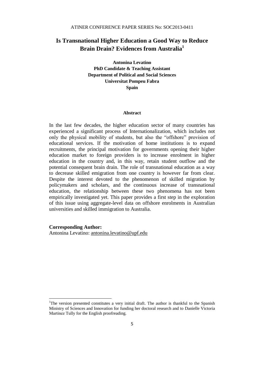### **Is Transnational Higher Education a Good Way to Reduce Brain Drain? Evidences from Australia<sup>1</sup>**

**Antonina Levatino PhD Candidate & Teaching Assistant Department of Political and Social Sciences Universitat Pompeu Fabra Spain**

#### **Abstract**

In the last few decades, the higher education sector of many countries has experienced a significant process of Internationalization, which includes not only the physical mobility of students, but also the "offshore" provision of educational services. If the motivation of home institutions is to expand recruitments, the principal motivation for governments opening their higher education market to foreign providers is to increase enrolment in higher education in the country and, in this way, retain student outflow and the potential consequent brain drain. The role of transnational education as a way to decrease skilled emigration from one country is however far from clear. Despite the interest devoted to the phenomenon of skilled migration by policymakers and scholars, and the continuous increase of transnational education, the relationship between these two phenomena has not been empirically investigated yet. This paper provides a first step in the exploration of this issue using aggregate-level data on offshore enrolments in Australian universities and skilled immigration to Australia.

#### **Corresponding Author:**

 $\overline{\phantom{a}}$ 

Antonina Levatino: antonina.levatino@upf.edu

<sup>&</sup>lt;sup>1</sup>The version presented constitutes a very initial draft. The author is thankful to the Spanish Ministry of Sciences and Innovation for funding her doctoral research and to Danielle Victoria Martínez Tully for the English proofreading.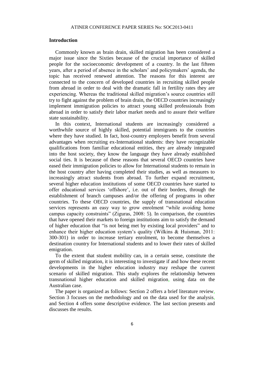#### **Introduction**

Commonly known as brain drain, skilled migration has been considered a major issue since the Sixties because of the crucial importance of skilled people for the socioeconomic development of a country. In the last fifteen years, after a period of absence in the scholars' and policymakers' agenda, the topic has received renewed attention. The reasons for this interest are connected to the concern of developed countries in recruiting skilled people from abroad in order to deal with the dramatic fall in fertility rates they are experiencing. Whereas the traditional skilled migration's source countries still try to fight against the problem of brain drain, the OECD countries increasingly implement immigration policies to attract young skilled professionals from abroad in order to satisfy their labor market needs and to assure their welfare state sustainability.

In this context, International students are increasingly considered a worthwhile source of highly skilled, potential immigrants to the countries where they have studied. In fact, host-country employers benefit from several advantages when recruiting ex-International students: they have recognizable qualifications from familiar educational entities, they are already integrated into the host society, they know the language they have already established social ties. It is because of these reasons that several OECD countries have eased their immigration policies to allow for International students to remain in the host country after having completed their studies, as well as measures to increasingly attract students from abroad. To further expand recruitment, several higher education institutions of some OECD countries have started to offer educational services 'offshore', i.e. out of their borders, through the establishment of branch campuses and/or the offering of programs in other countries. To these OECD countries, the supply of transnational education services represents an easy way to grow enrolment "while avoiding home campus capacity constraints" (Ziguras, 2008: 5). In comparison, the countries that have opened their markets to foreign institutions aim to satisfy the demand of higher education that "is not being met by existing local providers" and to enhance their higher education system's quality (Wilkins & Huisman, 2011: 300-301) in order to increase tertiary enrolment, to become themselves a destination country for International students and to lower their rates of skilled emigration.

To the extent that student mobility can, in a certain sense, constitute the germ of skilled migration, it is interesting to investigate if and how these recent developments in the higher education industry may reshape the current scenario of skilled migration. This study explores the relationship between transnational higher education and skilled migration, using data on the Australian case.

The paper is organized as follows: Section 2 offers a brief literature review, Section 3 focuses on the methodology and on the data used for the analysis, and Section 4 offers some descriptive evidence. The last section presents and discusses the results.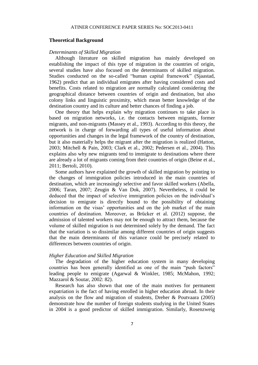#### **Theoretical Background**

#### *Determinants of Skilled Migration*

Although literature on skilled migration has mainly developed on establishing the impact of this type of migration in the countries of origin, several studies have also focused on the determinants of skilled migration. Studies conducted on the so-called "human capital framework" (Sjaastad, 1962) predict that an individual emigrates after having considered costs and benefits. Costs related to migration are normally calculated considering the geographical distance between countries of origin and destination, but also colony links and linguistic proximity, which mean better knowledge of the destination country and its culture and better chances of finding a job.

One theory that helps explain why migration continues to take place is based on migration networks, i.e. the contacts between migrants, former migrants, and non-migrants (Massey et al., 1993). According to this theory, the network is in charge of forwarding all types of useful information about opportunities and changes in the legal framework of the country of destination, but it also materially helps the migrant after the migration is realized (Hatton, 2003; Mitchell & Pain, 2003; Clark et al., 2002; Pedersen et al., 2004). This explains also why new migrants tend to immigrate to destinations where there are already a lot of migrants coming from their countries of origin (Beine et al., 2011; Bertoli, 2010).

Some authors have explained the growth of skilled migration by pointing to the changes of immigration policies introduced in the main countries of destination, which are increasingly selective and favor skilled workers (Abella, 2006; Taran, 2007; Zeugin & Van Dok, 2007). Nevertheless, it could be deduced that the impact of selective immigration policies on the individual's decision to emigrate is directly bound to the possibility of obtaining information on the visas' opportunities and on the job market of the main countries of destination. Moreover, as Brücker et al. (2012) suppose, the admission of talented workers may not be enough to attract them, because the volume of skilled migration is not determined solely by the demand. The fact that the variation is so dissimilar among different countries of origin suggests that the main determinants of this variance could be precisely related to differences between countries of origin.

#### *Higher Education and Skilled Migration*

The degradation of the higher education system in many developing countries has been generally identified as one of the main "push factors" leading people to emigrate (Agarwal & Winkler, 1985; McMahon, 1992; Mazzarol & Soutar, 2002: 82).

Research has also shown that one of the main motives for permanent expatriation is the fact of having enrolled in higher education abroad. In their analysis on the flow and migration of students, Dreher & Poutvaara (2005) demonstrate how the number of foreign students studying in the United States in 2004 is a good predictor of skilled immigration. Similarly, Rosenzweig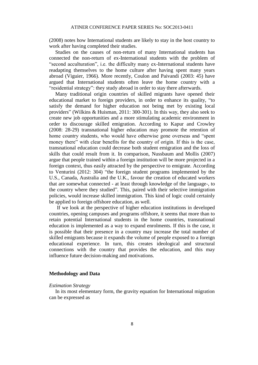(2008) notes how International students are likely to stay in the host country to work after having completed their studies.

Studies on the causes of non-return of many International students has connected the non-return of ex-International students with the problem of "second acculturation", i.e. the difficulty many ex-International students have readapting themselves to the home culture after having spent many years abroad (Viguier, 1966). More recently, Coulon and Paivandi (2003: 45) have argued that International students often leave the home country with a "residential strategy": they study abroad in order to stay there afterwards.

Many traditional origin countries of skilled migrants have opened their educational market to foreign providers, in order to enhance its quality, "to satisfy the demand for higher education not being met by existing local providers" (Wilkins & Huisman, 2011: 300-301). In this way, they also seek to create new job opportunities and a more stimulating academic environment in order to discourage skilled emigration. According to Kapur and Crowley (2008: 28-29) transnational higher education may promote the retention of home country students, who would have otherwise gone overseas and "spent money there" with clear benefits for the country of origin. If this is the case, transnational education could decrease both student emigration and the loss of skills that could result from it. In comparison, Nussbaum and Mollis (2007) argue that people trained within a foreign institution will be more projected in a foreign context, thus easily attracted by the perspective to emigrate. According to Venturini (2012: 304) "the foreign student programs implemented by the U.S., Canada, Australia and the U.K., favour the creation of educated workers that are somewhat connected - at least through knowledge of the language-, to the country where they studied". This, paired with their selective immigration policies, would increase skilled immigration. This kind of logic could certainly be applied to foreign offshore education, as well.

If we look at the perspective of higher education institutions in developed countries, opening campuses and programs offshore, it seems that more than to retain potential International students in the home countries, transnational education is implemented as a way to expand enrolments. If this is the case, it is possible that their presence in a country may increase the total number of skilled emigrants because it expands the volume of people exposed to a foreign educational experience. In turn, this creates ideological and structural connections with the country that provides the education, and this may influence future decision-making and motivations.

#### **Methodology and Data**

#### *Estimation Strategy*

In its most elementary form, the gravity equation for International migration can be expressed as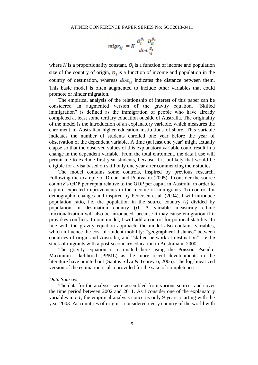$$
migr_{ij} = K \frac{O_i^{\beta_1} D_{ji}^{\beta_2}}{dist \frac{\beta_3}{ij}}
$$

where *K* is a proportionality constant,  $O_i$  is a function of income and population size of the country of origin,  $D_i$  is a function of income and population in the country of destination, whereas  $dist_{ij}$  indicates the distance between them. This basic model is often augmented to include other variables that could promote or hinder migration.

The empirical analysis of the relationship of interest of this paper can be considered an augmented version of the gravity equation. "Skilled immigration" is defined as the immigration of people who have already completed at least some tertiary education outside of Australia. The originality of the model is the introduction of an explanatory variable, which measures the enrolment in Australian higher education institutions offshore. This variable indicates the number of students enrolled one year before the year of observation of the dependent variable. A time (at least one year) might actually elapse so that the observed values of this explanatory variable could result in a change in the dependent variable. From the total enrolment, the data I use will permit me to exclude first year students, because it is unlikely that would be eligible for a visa based on skill only one year after commencing their studies.

The model contains some controls, inspired by previous research. Following the example of Dreher and Poutvaara (2005), I consider the source country's GDP per capita relative to the GDP per capita in Australia in order to capture expected improvements in the income of immigrants. To control for demographic changes and inspired by Pedersen et al. (2004), I will introduce population ratio, i.e. the population in the source country (*i)* divided by population in destination country (*j)*. A variable measuring ethnic fractionalization will also be introduced, because it may cause emigration if it provokes conflicts. In one model, I will add a control for political stability. In line with the gravity equation approach, the model also contains variables, which influence the cost of student mobility: "geographical distance" between countries of origin and Australia, and "skilled network at destination", i.e.the stock of migrants with a post-secondary education in Australia in 2000.

The gravity equation is estimated here using the Poisson Pseudo-Maximum Likelihood (PPML) as the more recent developments in the literature have pointed out (Santos Silva & Tenreyro, 2006). The log-linearized version of the estimation is also provided for the sake of completeness.

#### *Data Sources*

The data for the analyses were assembled from various sources and cover the time period between 2002 and 2011. As I consider one of the explanatory variables in *t-1*, the empirical analysis concerns only 9 years, starting with the year 2003. As countries of origin, I considered every country of the world with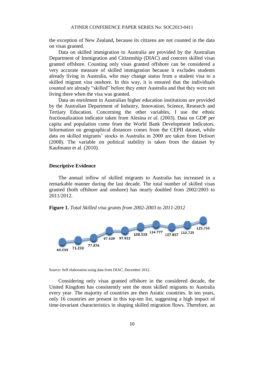the exception of New Zealand, because its citizens are not counted in the data on visas granted.

Data on skilled immigration to Australia are provided by the Australian Department of Immigration and Citizenship (DIAC) and concern skilled visas granted offshore. Counting only visas granted offshore can be considered a very accurate measure of skilled immigration because it excludes students already living in Australia, who may change status from a student visa to a skilled migrant visa onshore. In this way, it is ensured that the individuals counted are already "skilled" before they enter Australia and that they were not living there when the visa was granted.

Data on enrolment in Australian higher education institutions are provided by the Australian Department of Industry, Innovation, Science, Research and Tertiary Education. Concerning the other variables, I use the ethnic fractionalization indicator taken from Alesina *et al.* (2003). Data on GDP per capita and population come from the World Bank Development Indicators. Information on geographical distances comes from the CEPII dataset, while data on skilled migrants' stocks in Australia in 2000 are taken from Defoort (2008). The variable on political stability is taken from the dataset by Kaufmann et al. (2010).

#### **Descriptive Evidence**

The annual inflow of skilled migrants to Australia has increased in a remarkable manner during the last decade. The total number of skilled visas granted (both offshore and onshore) has nearly doubled from 2002/2003 to 2011/2012.

**Figure 1.** *Total Skilled visa grants from 2002-2003 to 2011-2012*



Source: Self elaboration using data from DIAC, December 2012.

Considering only visas granted offshore in the considered decade, the United Kingdom has consistently sent the most skilled migrants to Australia every year. The majority of countries are then Asiatic countries. In ten years, only 16 countries are present in this top-ten list, suggesting a high impact of time-invariant characteristics in shaping skilled migration flows. Therefore, an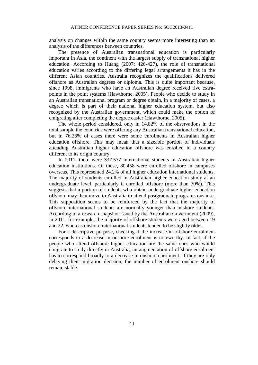analysis on changes within the same country seems more interesting than an analysis of the differences between countries.

The presence of Australian transnational education is particularly important in Asia, the continent with the largest supply of transnational higher education. According to Huang (2007: 426-427), the role of transnational education varies according to the differing legal arrangements it has in the different Asian countries. Australia recognizes the qualifications delivered offshore as Australian degrees or diploma. This is quite important because, since 1998, immigrants who have an Australian degree received five extrapoints in the point systems (Hawthorne, 2005). People who decide to study in an Australian transnational program or degree obtain, in a majority of cases, a degree which is part of their national higher education system, but also recognized by the Australian government, which could make the option of emigrating after completing the degree easier (Hawthorne, 2005).

The whole period considered, only in 14.82% of the observations in the total sample the countries were offering any Australian transnational education, but in 76.26% of cases there were some enrolments in Australian higher education offshore. This may mean that a sizeable portion of individuals attending Australian higher education offshore was enrolled in a country different to its origin country.

In 2011, there were 332.577 international students in Australian higher education institutions. Of these, 80.458 were enrolled offshore in campuses overseas. This represented 24.2% of all higher education international students. The majority of students enrolled in Australian higher education study at an undergraduate level, particularly if enrolled offshore (more than 70%). This suggests that a portion of students who obtain undergraduate higher education offshore may then move to Australia to attend postgraduate programs onshore. This supposition seems to be reinforced by the fact that the majority of offshore international students are normally younger than onshore students. According to a research snapshot issued by the Australian Government (2009), in 2011, for example, the majority of offshore students were aged between 19 and 22, whereas onshore international students tended to be slightly older.

For a descriptive purpose, checking if the increase in offshore enrolment corresponds to a decrease in onshore enrolment is noteworthy. In fact, if the people who attend offshore higher education are the same ones who would emigrate to study directly in Australia, an augmentation of offshore enrolment has to correspond broadly to a decrease in onshore enrolment. If they are only delaying their migration decision, the number of enrolment onshore should remain stable.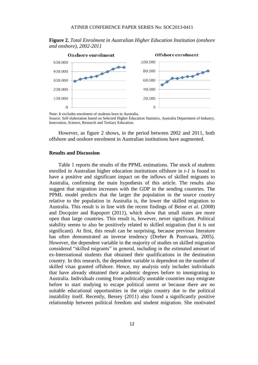

**Figure 2.** *Total Enrolment in Australian Higher Education Institution (onshore and onshore), 2002-2011*

Note: It excludes enrolment of students born in Australia.

Source: Self elaboration based on Selected Higher Education Statistics, Australia Department of Industry, Innovation, Science, Research and Tertiary Education.

 $\Omega$ 

However, as figure 2 shows, in the period between 2002 and 2011, both offshore and onshore enrolment in Australian institutions have augmented.

#### **Results and Discussion**

 $\Omega$ 

Table 1 reports the results of the PPML estimations. The stock of students enrolled in Australian higher education institutions offshore in *t-1* is found to have a positive and significant impact on the inflows of skilled migrants to Australia, confirming the main hypothesis of this article. The results also suggest that migration increases with the GDP in the sending countries. The PPML model predicts that the larger the population in the source country relative to the population in Australia is, the lower the skilled migration to Australia. This result is in line with the recent findings of Beine *et al.* (2008) and Docquier and Rapoport (2011), which show that small states are more open than large countries. This result is, however, never significant. Political stability seems to also be positively related to skilled migration (but it is not significant). At first, this result can be surprising, because previous literature has often demonstrated an inverse tendency (Dreher & Poutvaara, 2005). However, the dependent variable in the majority of studies on skilled migration considered "skilled migrants" in general, including in the estimated amount of ex-International students that obtained their qualifications in the destination country. In this research, the dependent variable is dependent on the number of skilled visas granted offshore. Hence, my analysis only includes individuals that have already obtained their academic degrees before to immigrating to Australia. Individuals coming from politically unstable countries may emigrate before to start studying to escape political unrest or because there are no suitable educational opportunities in the origin country due to the political instability itself. Recently, Bessey (2011) also found a significantly positive relationship between political freedom and student migration. She motivated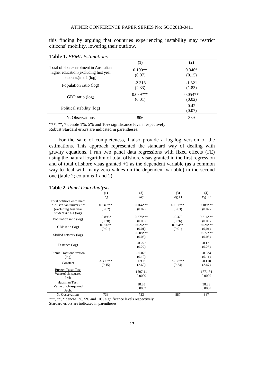this finding by arguing that countries experiencing instability may restrict citizens' mobility, lowering their outflow.

**Table 1.** *PPML Estimations*

|                                                                                                              | (1)                  | (2)                 |
|--------------------------------------------------------------------------------------------------------------|----------------------|---------------------|
| Total offshore enrolment in Australian<br>higher education (excluding first year<br>students) in $t-1$ (log) | $0.190**$<br>(0.07)  | $0.346*$<br>(0.15)  |
| Population ratio (log)                                                                                       | $-2.313$<br>(2.33)   | $-1.321$<br>(1.83)  |
| GDP ratio (log)                                                                                              | $0.039***$<br>(0.01) | $0.054**$<br>(0.02) |
| Political stability (log)                                                                                    |                      | 0.42<br>(0.07)      |
| N. Observations                                                                                              | 806                  | 339                 |

\*\*\*, \*\*, \* denote 1%, 5% and 10% significance levels respectively

Robust Stardard errors are indicated in parentheses.

For the sake of completeness, I also provide a log-log version of the estimations. This approach represented the standard way of dealing with gravity equations. I run two panel data regressions with fixed effects (FE) using the natural logarithm of total offshore visas granted in the first regression and of total offshore visas granted  $+1$  as the dependent variable (as a common way to deal with many zero values on the dependent variable) in the second one (table 2; columns 1 and 2).

**Table 2.** *Panel Data Analysis*

|                                                   | (1)        | (2)        | (3)        | (4)        |
|---------------------------------------------------|------------|------------|------------|------------|
|                                                   | log        | log        | $log+1$    | $log+1$    |
| Total offshore enrolment                          |            |            |            |            |
| in Australian universities                        | $0.146***$ | $0.164***$ | $0.157***$ | $0.189***$ |
| (excluding first year<br>students) in $t-1$ (log) | (0.02)     | (0.02)     | (0.03)     | (0.02)     |
| Population ratio (log)                            | $-0.895*$  | $0.278***$ | $-0.379$   | $0.216***$ |
|                                                   | (0.38)     | (0.06)     | (0.36)     | (0.06)     |
| GDP ratio (log)                                   | $0.026**$  | $0.026***$ | $0.024**$  | $0.028***$ |
|                                                   | (0.01)     | (0.01)     | (0.01)     | (0.01)     |
| Skilled network (log)                             |            | $0.508***$ |            | $0.577***$ |
|                                                   |            | (0.05)     |            | (0.05)     |
| Distance (log)                                    |            | $-0.257$   |            | $-0.121$   |
|                                                   |            | (0.27)     |            | (0.25)     |
| Ethnic Fractionalization                          |            | $-0.023$   |            | $-0.034$   |
| (log)                                             |            | (0.12)     |            | (0.11)     |
| Constant                                          | $3.356***$ | 1.903      | 2.788***   | $-0.110$   |
|                                                   | (0.15)     | (2.69)     | (0.24)     | (2.47)     |
| Breusch-Pagan Test:                               |            | 1597.11    |            | 1771.74    |
| Value of chi-squared                              |            | 0.0000     |            | 0.0000     |
| Prob.                                             |            |            |            |            |
| Hausman Test:                                     |            | 18.83      |            | 38.28      |
| Value of chi-squared                              |            | 0.0003     |            | 0.0000     |
| Prob.                                             |            |            |            |            |
| N. Observations                                   | 733        | 733        | 887        | 887        |

\*\*\*, \*\*, \* denote 1%, 5% and 10% significance levels respectively

Stardard errors are indicated in parentheses.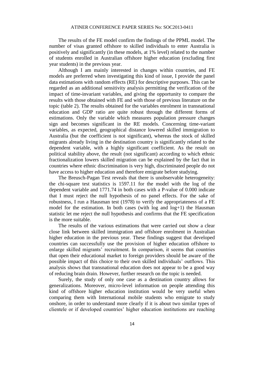The results of the FE model confirm the findings of the PPML model. The number of visas granted offshore to skilled individuals to enter Australia is positively and significantly (in these models, at 1% level) related to the number of students enrolled in Australian offshore higher education (excluding first year students) in the previous year.

Although I am mainly interested in changes within countries, and FE models are preferred when investigating this kind of issue, I provide the panel data estimations with random effects (RE) for descriptive purposes. This can be regarded as an additional sensitivity analysis permitting the verification of the impact of time-invariant variables, and giving the opportunity to compare the results with those obtained with FE and with those of previous literature on the topic (table 2). The results obtained for the variables enrolment in transnational education and GDP ratio are quite robust through the different forms of estimations. Only the variable which measures population pressure changes sign and becomes significant in the RE models. Concerning time-variant variables, as expected, geographical distance lowered skilled immigration to Australia (but the coefficient is not significant), whereas the stock of skilled migrants already living in the destination country is significantly related to the dependent variable, with a highly significant coefficient. As the result on political stability above, the result (not significant) according to which ethnic fractionalization lowers skilled migration can be explained by the fact that in countries where ethnic discrimination is very high, discriminated people do not have access to higher education and therefore emigrate before studying.

The Breusch-Pagan Test reveals that there is unobservable heterogeneity: the chi-square test statistics is 1597.11 for the model with the log of the dependent variable and 1771.74 in both cases with a P-value of 0.000 indicate that I must reject the null hypothesis of no panel effects. For the sake of robustness, I run a Hausman test (1978) to verify the appropriateness of a FE model for the estimation. In both cases (with log and  $log+1$ ) the Hausman statistic let me reject the null hypothesis and confirms that the FE specification is the more suitable.

The results of the various estimations that were carried out show a clear close link between skilled immigration and offshore enrolment in Australian higher education in the previous year. These findings suggest that developed countries can successfully use the provision of higher education offshore to enlarge skilled migrants' recruitment. In comparison, it seems that countries that open their educational market to foreign providers should be aware of the possible impact of this choice to their own skilled individuals' outflows. This analysis shows that transnational education does not appear to be a good way of reducing brain drain. However, further research on the topic is needed.

Surely, the study of only one case as a destination country allows for generalizations. Moreover, micro-level information on people attending this kind of offshore higher education institution would be very useful when comparing them with International mobile students who emigrate to study onshore, in order to understand more clearly if it is about two similar types of clientele or if developed countries' higher education institutions are reaching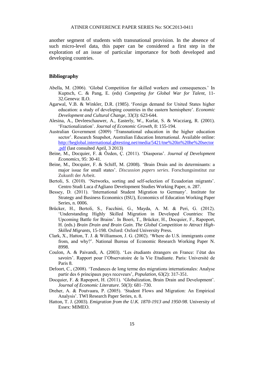another segment of students with transnational provision. In the absence of such micro-level data, this paper can be considered a first step in the exploration of an issue of particular importance for both developed and developing countries.

#### **Bibliography**

- Abella, M. (2006). 'Global Competition for skilled workers and consequences.' In Kuptsch, C. & Pang, E. (eds) *Competing for Global War for Talent*, 11- 32.Geneva: ILO.
- Agarwal, V.B. & Winkler, D.R. (1985). 'Foreign demand for United States higher education: a study of developing countries in the eastern hemisphere'. *Economic Development and Cultural Change*, 33(3): 623-644.
- Alesina, A., Devleeschauwer, A., Easterly, W., Kurlat, S. & Wacziarg, R. (2001). 'Fractionalization'. *Journal of Economic Growth*, 8: 155-194.
- Australian Government (2009) 'Transnational education in the higher education sector'. Research Snapshot, Australian Education International. Available online: [http://heglobal.international.gbtesting.net/media/5421/tne%20in%20he%20sector](http://heglobal.international.gbtesting.net/media/5421/tne%20in%20he%20sector.pdf) [.pdf](http://heglobal.international.gbtesting.net/media/5421/tne%20in%20he%20sector.pdf) (last consulted April, 3 2013)
- Beine, M., Docquier, F. & Özden, Ç. (2011). 'Diasporas'. *Journal of Development Economics*, 95: 30-41.
- Beine, M., Docquier, F. & Schiff, M. (2008). 'Brain Drain and its determinants: a major issue for small states'. *Discussion papers series*. Forschungsinstitut zur Zukunft der Arbeit.
- Bertoli, S. (2010). 'Networks, sorting and self-selection of Ecuadorian migrants'. Centro Studi Luca d'Agliano Development Studies Working Paper, n. 287.
- Bessey, D. (2011). 'International Student Migration to Germany'. Institute for Strategy and Business Economics (ISU), Economics of Education Working Paper Series, n. 0006.
- Brücker, H., Bertoli, S., Facchini, G., Mayda, A. M. & Peri, G. (2012). 'Understanding Highly Skilled Migration in Developed Countries: The Upcoming Battle for Brains'. In Boeri, T., Brücker, H., Docquier, F., Rapoport, H. (eds.) *Brain Drain and Brain Gain. The Global Competition to Attract High-Skilled Migrants*, 15-198. Oxford: Oxford University Press.
- Clark, X., Hatton, T. J. & Williamson, J. G. (2002). 'Where do U.S. immigrants come from, and why?'. National Bureau of Economic Research Working Paper N. 8998.
- Coulon, A. & Paivandi, A. (2003). 'Les étudiants étrangers en France: l'état des savoirs'. Rapport pour l'Observatoire de la Vie Etudiante. Paris: Université de Paris 8.
- Defoort, C., (2008). 'Tendances de long terme des migrations internationales: Analyse partir des 6 principaux pays receveurs', *Population*, 63(2): 317-351.
- Docquier, F. & Rapoport, H. (2011). 'Globalization, Brain Drain and Development'. *Journal of Economic Literature*. 50(3): 681–730.
- Dreher, A. & Poutvaara, P. (2005). 'Student Flows and Migration: An Empirical Analysis'. TWI Research Paper Series, n. 8.
- Hatton, T. J. (2003). *Emigration from the U.K. 1870-1913 and 1950-98*. University of Essex: MIMEO.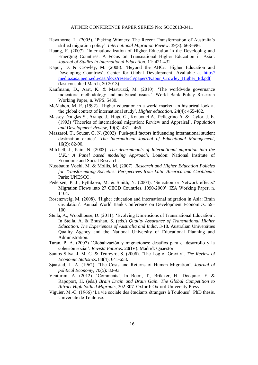- Hawthorne, L. (2005). 'Picking Winners: The Recent Transformation of Australia's skilled migration policy'. *International Migration Review*. 39(3): 663-696.
- Huang, F. (2007). 'Internationalization of Higher Education in the Developing and Emerging Countries: A Focus on Transnational Higher Education in Asia'. *Journal of Studies in International Education*. 11: 421-432.
- Kapur, D. & Crowley, M. (2008). 'Beyond the ABCs: Higher Education and Developing Countries', Center for Global Development. Available at http:// media.sas.upenn.edu/casi/docs/research/papers/Kapur\_Crowley\_Higher\_Ed.pdf (last consulted March, 30 2013).
- Kaufmann, D., Aart, K. & Mastruzzi, M. (2010). 'The worldwide governance indicators: methodology and analytical issues'. World Bank Policy Research Working Paper, n. WPS. 5430.
- McMahon, M. E. (1992). 'Higher education in a world market: an historical look at the global context of international study'. *Higher education*, 24(4): 465-482.
- Massey Douglas S., Arango J., Hugo G., Kouaouci A., Pellegrino A. & Taylor, J. E. (1993) 'Theories of international migration: Review and Appraisal'. *Population and Development Review,* 19(3): 431 – 466.
- Mazzarol, T., Soutar, G. N. (2002) 'Push-pull factors influencing international student destination choice'. *The International Journal of Educational Management*, 16(2): 82-90.
- Mitchell, J., Pain, N. (2003). *The determinants of International migration into the U.K.: A Panel based modeling Approach*. London: National Institute of Economic and Social Research.
- Nussbaum Voehl, M. & Mollis, M. (2007). *Research and Higher Education Policies for Transformating Societies: Perspectives from Latin America and Caribbean.* Paris: UNESCO.
- Pedersen, P. J., Pytlikova, M. & Smith, N. (2004). 'Selection or Network effects? Migration Flows into 27 OECD Countries, 1990-2000'. IZA Working Paper, n. 1104.
- Rosenzweig, M. (2008). 'Higher education and international migration in Asia: Brain circulation'. Annual World Bank Conference on Development Economics, 59– 100.
- Stella, A., Woodhouse, D. (2011). 'Evolving Dimensions of Transnational Education'. In Stella, A. & Bhushan, S. (eds.) *Quality Assurance of Transnational Higher Education. The Experiences of Australia and India*, 3-18. Australian Universities Quality Agency and the National University of Educational Planning and Administration.
- Taran, P. A. (2007) 'Globalización y migraciones: desafíos para el desarrollo y la cohesión social'. *Revista Futuros*. 20(IV). Madrid: Quaestor.
- Santos Silva, J. M. C. & Tenreyro, S. (2006). 'The Log of Gravity'. *The Review of Economic Statistics*. 88(4): 641-658.
- Sjaastad, L. A. (1962). 'The Costs and Returns of Human Migration'. *Journal of political Economy,* 70(5): 80-93.
- Venturini, A. (2012). 'Comments'. In Boeri, T., Brücker, H., Docquier, F. & Rapoport, H. (eds.) *Brain Drain and Brain Gain. The Global Competition to Attract High-Skilled Migrants*, 302-307. Oxford: Oxford University Press.
- Viguier, M.-C. (1966) 'La vie sociale des étudiants étrangers à Toulouse'. PhD thesis. Université de Toulouse.